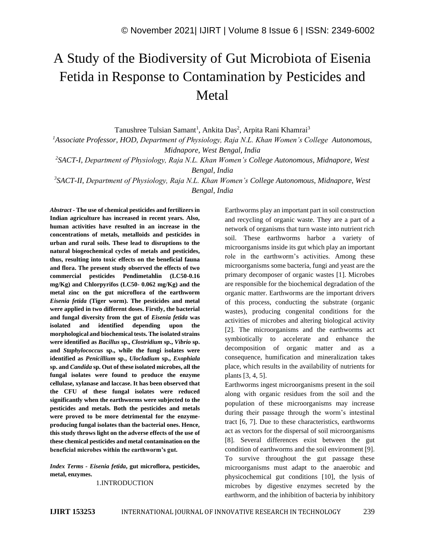# A Study of the Biodiversity of Gut Microbiota of Eisenia Fetida in Response to Contamination by Pesticides and Metal

Tanushree Tulsian Samant<sup>1</sup>, Ankita Das<sup>2</sup>, Arpita Rani Khamrai<sup>3</sup>

*<sup>1</sup>Associate Professor, HOD, Department of Physiology, Raja N.L. Khan Women's College Autonomous, Midnapore, West Bengal, India*

*2 SACT-I, Department of Physiology, Raja N.L. Khan Women's College Autonomous, Midnapore, West Bengal, India*

*3 SACT-II, Department of Physiology, Raja N.L. Khan Women's College Autonomous, Midnapore, West Bengal, India*

*Abstract -* **The use of chemical pesticides and fertilizers in Indian agriculture has increased in recent years. Also, human activities have resulted in an increase in the concentrations of metals, metalloids and pesticides in urban and rural soils. These lead to disruptions to the natural biogeochemical cycles of metals and pesticides, thus, resulting into toxic effects on the beneficial fauna and flora. The present study observed the effects of two commercial pesticides Pendimetahlin (LC50-0.16 mg/Kg) and Chlorpyrifos (LC50- 0.062 mg/Kg) and the metal zinc on the gut microflora of the earthworm**  *Eisenia fetida* **(Tiger worm). The pesticides and metal were applied in two different doses. Firstly, the bacterial and fungal diversity from the gut of** *Eisenia fetida* **was isolated and identified depending upon the morphological and biochemical tests. The isolated strains were identified as** *Bacillus* **sp.,** *Clostridium* **sp.,** *Vibrio* **sp. and** *Staphylococcus* **sp., while the fungi isolates were identified as** *Penicillium* **sp.,** *Ulocladium* **sp.,** *Exophiala* **sp. and** *Candida* **sp. Out of these isolated microbes, all the fungal isolates were found to produce the enzyme cellulase, xylanase and laccase. It has been observed that the CFU of these fungal isolates were reduced significantly when the earthworms were subjected to the pesticides and metals. Both the pesticides and metals were proved to be more detrimental for the enzymeproducing fungal isolates than the bacterial ones. Hence, this study throws light on the adverse effects of the use of these chemical pesticides and metal contamination on the beneficial microbes within the earthworm's gut.**

*Index Terms - Eisenia fetida***, gut microflora, pesticides, metal, enzymes.**

1.INTRODUCTION

Earthworms play an important part in soil construction and recycling of organic waste. They are a part of a network of organisms that turn waste into nutrient rich soil. These earthworms harbor a variety of microorganisms inside its gut which play an important role in the earthworm's activities. Among these microorganisms some bacteria, fungi and yeast are the primary decomposer of organic wastes [1]. Microbes are responsible for the biochemical degradation of the organic matter. Earthworms are the important drivers of this process, conducting the substrate (organic wastes), producing congenital conditions for the activities of microbes and altering biological activity [2]. The microorganisms and the earthworms act symbiotically to accelerate and enhance the decomposition of organic matter and as a consequence, humification and mineralization takes place, which results in the availability of nutrients for plants [3, 4, 5].

Earthworms ingest microorganisms present in the soil along with organic residues from the soil and the population of these microorganisms may increase during their passage through the worm's intestinal tract [6, 7]. Due to these characteristics, earthworms act as vectors for the dispersal of soil microorganisms [8]. Several differences exist between the gut condition of earthworms and the soil environment [9]. To survive throughout the gut passage these microorganisms must adapt to the anaerobic and physicochemical gut conditions [10], the lysis of microbes by digestive enzymes secreted by the earthworm, and the inhibition of bacteria by inhibitory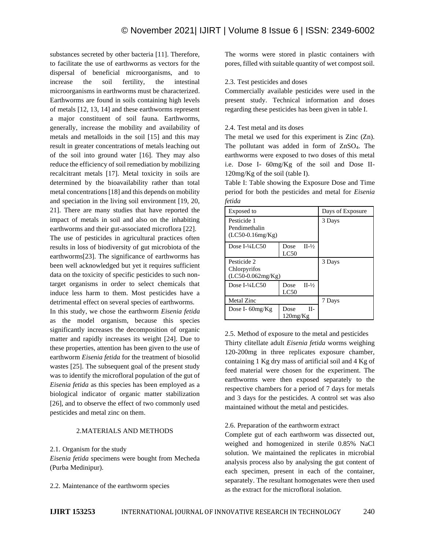substances secreted by other bacteria [11]. Therefore, to facilitate the use of earthworms as vectors for the dispersal of beneficial microorganisms, and to increase the soil fertility, the intestinal microorganisms in earthworms must be characterized. Earthworms are found in soils containing high levels of metals [12, 13, 14] and these earthworms represent a major constituent of soil fauna. Earthworms, generally, increase the mobility and availability of metals and metalloids in the soil [15] and this may result in greater concentrations of metals leaching out of the soil into ground water [16]. They may also reduce the efficiency of soil remediation by mobilizing recalcitrant metals [17]. Metal toxicity in soils are determined by the bioavailability rather than total metal concentrations [18] and this depends on mobility and speciation in the living soil environment [19, 20, 21]. There are many studies that have reported the impact of metals in soil and also on the inhabiting earthworms and their gut-associated microflora [22].

The use of pesticides in agricultural practices often results in loss of biodiversity of gut microbiota of the earthworms[23]. The significance of earthworms has been well acknowledged but yet it requires sufficient data on the toxicity of specific pesticides to such nontarget organisms in order to select chemicals that induce less harm to them. Most pesticides have a detrimental effect on several species of earthworms.

In this study, we chose the earthworm *Eisenia fetida* as the model organism, because this species significantly increases the decomposition of organic matter and rapidly increases its weight [24]. Due to these properties, attention has been given to the use of earthworm *Eisenia fetida* for the treatment of biosolid wastes [25]. The subsequent goal of the present study was to identify the microfloral population of the gut of *Eisenia fetida* as this species has been employed as a biological indicator of organic matter stabilization [26], and to observe the effect of two commonly used pesticides and metal zinc on them.

#### 2.MATERIALS AND METHODS

2.1. Organism for the study

*Eisenia fetida* specimens were bought from Mecheda (Purba Medinipur).

2.2. Maintenance of the earthworm species

The worms were stored in plastic containers with pores, filled with suitable quantity of wet compost soil.

#### 2.3. Test pesticides and doses

Commercially available pesticides were used in the present study. Technical information and doses regarding these pesticides has been given in table I.

#### 2.4. Test metal and its doses

The metal we used for this experiment is Zinc (Zn). The pollutant was added in form of ZnSO4. The earthworms were exposed to two doses of this metal i.e. Dose I- 60mg/Kg of the soil and Dose II-120mg/Kg of the soil (table I).

Table I: Table showing the Exposure Dose and Time period for both the pesticides and metal for *Eisenia fetida*

| Exposed to                                         |                     |          | Days of Exposure |
|----------------------------------------------------|---------------------|----------|------------------|
| Pesticide 1<br>Pendimethalin<br>$(LC50-0.16mg/Kg)$ |                     |          | 3 Days           |
| Dose $I$ -¼ $I$ C50                                | Dose<br>LC50        | $II-1/2$ |                  |
| Pesticide 2<br>Chlorpyrifos<br>$(LC50-0.062mg/Kg)$ |                     |          | 3 Days           |
| Dose $I-4I.C.50$                                   | Dose<br>LC50        | $II-1/2$ |                  |
| <b>Metal Zinc</b>                                  |                     |          | 7 Days           |
| Dose I- $60mg/Kg$                                  | Dose<br>$120$ mg/Kg | $II-$    |                  |

2.5. Method of exposure to the metal and pesticides Thirty clitellate adult *Eisenia fetida* worms weighing 120-200mg in three replicates exposure chamber, containing 1 Kg dry mass of artificial soil and 4 Kg of feed material were chosen for the experiment. The earthworms were then exposed separately to the respective chambers for a period of 7 days for metals and 3 days for the pesticides. A control set was also maintained without the metal and pesticides.

#### 2.6. Preparation of the earthworm extract

Complete gut of each earthworm was dissected out, weighed and homogenized in sterile 0.85% NaCl solution. We maintained the replicates in microbial analysis process also by analysing the gut content of each specimen, present in each of the container, separately. The resultant homogenates were then used as the extract for the microfloral isolation.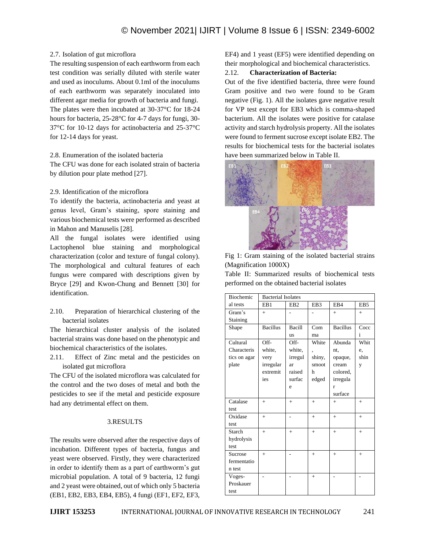# 2.7. Isolation of gut microflora

The resulting suspension of each earthworm from each test condition was serially diluted with sterile water and used as inoculums. About 0.1ml of the inoculums of each earthworm was separately inoculated into different agar media for growth of bacteria and fungi. The plates were then incubated at 30-37°C for 18-24 hours for bacteria, 25-28°C for 4-7 days for fungi, 30- 37°C for 10-12 days for actinobacteria and 25-37°C for 12-14 days for yeast.

2.8. Enumeration of the isolated bacteria

The CFU was done for each isolated strain of bacteria by dilution pour plate method [27].

# 2.9. Identification of the microflora

To identify the bacteria, actinobacteria and yeast at genus level, Gram's staining, spore staining and various biochemical tests were performed as described in Mahon and Manuselis [28].

All the fungal isolates were identified using Lactophenol blue staining and morphological characterization (color and texture of fungal colony). The morphological and cultural features of each fungus were compared with descriptions given by Bryce [29] and Kwon-Chung and Bennett [30] for identification.

2.10. Preparation of hierarchical clustering of the bacterial isolates

The hierarchical cluster analysis of the isolated bacterial strains was done based on the phenotypic and biochemical characteristics of the isolates.

2.11. Effect of Zinc metal and the pesticides on isolated gut microflora

The CFU of the isolated microflora was calculated for the control and the two doses of metal and both the pesticides to see if the metal and pesticide exposure had any detrimental effect on them.

# 3.RESULTS

The results were observed after the respective days of incubation. Different types of bacteria, fungus and yeast were observed. Firstly, they were characterized in order to identify them as a part of earthworm's gut microbial population. A total of 9 bacteria, 12 fungi and 2 yeast were obtained, out of which only 5 bacteria (EB1, EB2, EB3, EB4, EB5), 4 fungi (EF1, EF2, EF3,

EF4) and 1 yeast (EF5) were identified depending on their morphological and biochemical characteristics.

# 2.12. **Characterization of Bacteria:**

Out of the five identified bacteria, three were found Gram positive and two were found to be Gram negative (Fig. 1). All the isolates gave negative result for VP test except for EB3 which is comma-shaped bacterium. All the isolates were positive for catalase activity and starch hydrolysis property. All the isolates were found to ferment sucrose except isolate EB2. The results for biochemical tests for the bacterial isolates have been summarized below in Table II.



Fig 1: Gram staining of the isolated bacterial strains (Magnification 1000X)

Table II: Summarized results of biochemical tests performed on the obtained bacterial isolates

| <b>Biochemic</b> | <b>Bacterial Isolates</b> |                 |                 |                 |                 |
|------------------|---------------------------|-----------------|-----------------|-----------------|-----------------|
| al tests         | EB <sub>1</sub>           | EB <sub>2</sub> | EB <sub>3</sub> | EB4             | EB <sub>5</sub> |
| Gram's           | $+$                       |                 |                 | $+$             | $+$             |
| Staining         |                           |                 |                 |                 |                 |
| Shape            | <b>Bacillus</b>           | <b>Bacill</b>   | Com             | <b>Bacillus</b> | Cocc            |
|                  |                           | <b>us</b>       | ma              |                 | i               |
| Cultural         | Off-                      | Off-            | White           | Abunda          | Whit            |
| Characteris      | white,                    | white,          |                 | nt.             | e,              |
| tics on agar     | very                      | irregul         | shiny,          | opaque,         | shin            |
| plate            | irregular                 | ar              | smoot           | cream           | y               |
|                  | extremit                  | raised          | h               | colored.        |                 |
|                  | ies                       | surfac          | edged           | irregula        |                 |
|                  |                           | e               |                 | r               |                 |
|                  |                           |                 |                 | surface         |                 |
| Catalase         | $+$                       | $+$             | $+$             | $+$             | $+$             |
| test             |                           |                 |                 |                 |                 |
| Oxidase          | $+$                       |                 | $+$             | $+$             | $+$             |
| test             |                           |                 |                 |                 |                 |
| Starch           | $+$                       | $+$             | $+$             | $+$             | $+$             |
| hydrolysis       |                           |                 |                 |                 |                 |
| test             |                           |                 |                 |                 |                 |
| Sucrose          | $+$                       |                 | $+$             | $+$             | $+$             |
| fermentatio      |                           |                 |                 |                 |                 |
| n test           |                           |                 |                 |                 |                 |
| Voges-           |                           |                 | $+$             |                 |                 |
| Proskauer        |                           |                 |                 |                 |                 |
| test             |                           |                 |                 |                 |                 |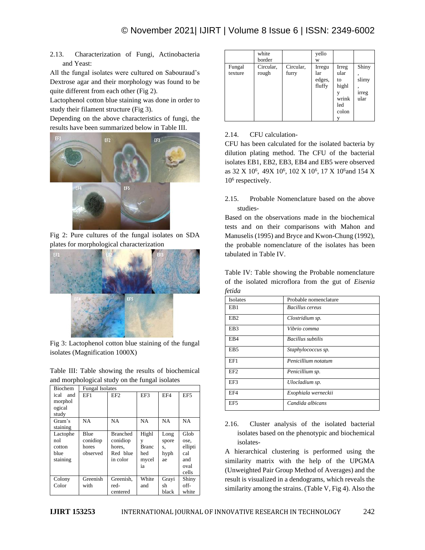2.13. Characterization of Fungi, Actinobacteria and Yeast:

All the fungal isolates were cultured on Sabouraud's Dextrose agar and their morphology was found to be quite different from each other (Fig 2).

Lactophenol cotton blue staining was done in order to study their filament structure (Fig 3).

Depending on the above characteristics of fungi, the results have been summarized below in Table III.



Fig 2: Pure cultures of the fungal isolates on SDA plates for morphological characterization



Fig 3: Lactophenol cotton blue staining of the fungal isolates (Magnification 1000X)

Table III: Table showing the results of biochemical and morphological study on the fungal isolates

| <b>Biochem</b>                                | <b>Fungal Isolates</b>                |                                                               |                                                  |                                   |                                                        |
|-----------------------------------------------|---------------------------------------|---------------------------------------------------------------|--------------------------------------------------|-----------------------------------|--------------------------------------------------------|
| ical<br>and<br>morphol<br>ogical<br>study     | EF1                                   | EF <sub>2</sub>                                               | EF3                                              | EF4                               | EF <sub>5</sub>                                        |
| Gram's<br>staining                            | NA                                    | NA                                                            | NA                                               | <b>NA</b>                         | <b>NA</b>                                              |
| Lactophe<br>nol<br>cotton<br>blue<br>staining | Blue<br>conidiop<br>hores<br>observed | <b>Branched</b><br>conidiop<br>hores.<br>Red blue<br>in color | Highl<br>V<br><b>Branc</b><br>hed<br>mycel<br>ia | Long<br>spore<br>S,<br>hyph<br>ae | Glob<br>ose,<br>ellipti<br>cal<br>and<br>oval<br>cells |
| Colony<br>Color                               | Greenish<br>with                      | Greenish.<br>red-<br>centered                                 | White<br>and                                     | Grayi<br>sh<br>black              | Shiny<br>off-<br>white                                 |

|                   | white<br>border    |                    | yello<br>W                        |                                                       |                                      |
|-------------------|--------------------|--------------------|-----------------------------------|-------------------------------------------------------|--------------------------------------|
| Fungal<br>texture | Circular,<br>rough | Circular,<br>furry | Irregu<br>lar<br>edges,<br>fluffy | Irreg<br>ular<br>to<br>highl<br>wrink<br>led<br>colon | Shiny<br>۰<br>slimy<br>irreg<br>ular |

# 2.14. CFU calculation-

CFU has been calculated for the isolated bacteria by dilution plating method. The CFU of the bacterial isolates EB1, EB2, EB3, EB4 and EB5 were observed as 32 X 10<sup>6</sup>, 49X 10<sup>6</sup>, 102 X 10<sup>6</sup>, 17 X 10<sup>6</sup> and 154 X 10<sup>6</sup> respectively.

2.15. Probable Nomenclature based on the above studies-

Based on the observations made in the biochemical tests and on their comparisons with Mahon and Manuselis (1995) and Bryce and Kwon-Chung (1992), the probable nomenclature of the isolates has been tabulated in Table IV.

Table IV: Table showing the Probable nomenclature of the isolated microflora from the gut of *Eisenia fetida*

| Isolates<br>Probable nomenclature<br>EB1<br><b>Bacillus</b> cereus |  |
|--------------------------------------------------------------------|--|
|                                                                    |  |
|                                                                    |  |
| EB2<br>Clostridium sp.                                             |  |
| Vibrio comma<br>EB3                                                |  |
| EB4<br>Bacillus subtilis                                           |  |
| EB5<br>Staphylococcus sp.                                          |  |
| EF1<br>Penicillium notatum                                         |  |
| EF <sub>2</sub><br>Penicillium sp.                                 |  |
| EF3<br>Ulocladium sp.                                              |  |
| EF4<br>Exophiala werneckii                                         |  |
| Candida albicans<br>EF <sub>5</sub>                                |  |

<sup>2.16.</sup> Cluster analysis of the isolated bacterial isolates based on the phenotypic and biochemical isolates-

A hierarchical clustering is performed using the similarity matrix with the help of the UPGMA (Unweighted Pair Group Method of Averages) and the result is visualized in a dendograms, which reveals the similarity among the strains. (Table V, Fig 4). Also the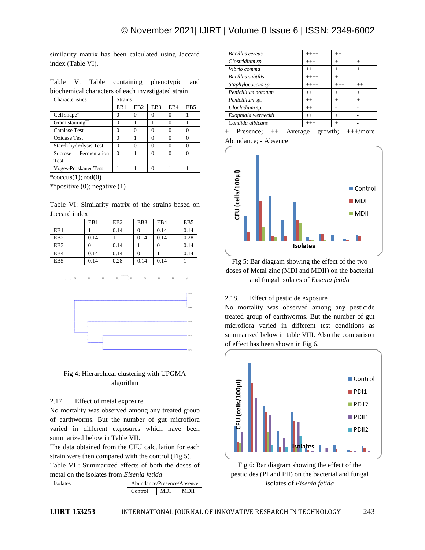similarity matrix has been calculated using Jaccard index (Table VI).

|  |  | Table V: Table containing phenotypic and           |  |
|--|--|----------------------------------------------------|--|
|  |  | biochemical characters of each investigated strain |  |

| Characteristics                | <b>Strains</b> |                 |                 |     |                 |
|--------------------------------|----------------|-----------------|-----------------|-----|-----------------|
|                                | EB1            | EB <sub>2</sub> | EB <sub>3</sub> | EB4 | EB <sub>5</sub> |
| Cell shape*                    |                |                 |                 |     |                 |
| Gram staining**                |                |                 |                 |     |                 |
| Catalase Test                  |                | 0               |                 |     | 0               |
| <b>Oxidase Test</b>            |                |                 |                 |     | 0               |
| Starch hydrolysis Test         |                |                 |                 |     | $\Omega$        |
| Fermentation<br><b>Sucrose</b> |                |                 |                 |     | 0               |
| Test                           |                |                 |                 |     |                 |
| Voges-Proskauer Test           |                |                 |                 |     |                 |

 $*cocus(1); rod(0)$ 

\*\*positive (0); negative (1)

Table VI: Similarity matrix of the strains based on Jaccard index

|                 | EB1  | EB <sub>2</sub> | EB <sub>3</sub> | EB4  | EB <sub>5</sub> |
|-----------------|------|-----------------|-----------------|------|-----------------|
| EB1             |      | 0.14            |                 | 0.14 | 0.14            |
| EB <sub>2</sub> | 0.14 |                 | 0.14            | 0.14 | 0.28            |
| EB <sub>3</sub> | 0    | 0.14            |                 |      | 0.14            |
| EB4             | 0.14 | 0.14            |                 |      | 0.14            |
| EB <sub>5</sub> | 0.14 | 0.28            | 0.14            | 0.14 |                 |



Fig 4: Hierarchical clustering with UPGMA algorithm

#### 2.17. Effect of metal exposure

No mortality was observed among any treated group of earthworms. But the number of gut microflora varied in different exposures which have been summarized below in Table VII.

The data obtained from the CFU calculation for each strain were then compared with the control (Fig 5). Table VII: Summarized effects of both the doses of

|  | metal on the isolates from Eisenia fetida |  |  |  |
|--|-------------------------------------------|--|--|--|
|  |                                           |  |  |  |
|  |                                           |  |  |  |

| <b>Isolates</b> | Abundance/Presence/Absence |            |      |  |  |
|-----------------|----------------------------|------------|------|--|--|
|                 | Control                    | <b>MDI</b> | MDII |  |  |

| <b>Bacillus cereus</b>   | $+++++$ | $^{++}$  |         |
|--------------------------|---------|----------|---------|
| Clostridium sp.          | $+++$   | $+$      | $^{+}$  |
| Vibrio comma             | $+++++$ | $+$      | $^{+}$  |
| <b>Bacillus</b> subtilis | $+++++$ | $^{+}$   |         |
| Staphylococcus sp.       | $++++$  | $^{+++}$ | $^{++}$ |
| Penicillium notatum      | $++++$  | $+++$    | $+$     |
| Penicillium sp.          | $^{++}$ | $+$      | $^{+}$  |
| Ulocladium sp.           | $++$    |          |         |
| Exophiala werneckii      | $++$    | $^{++}$  |         |
| Candida albicans         | $+++$   | $^{+}$   |         |

+ Presence; ++ Average growth; +++/more Abundance; - Absence



Fig 5: Bar diagram showing the effect of the two doses of Metal zinc (MDI and MDII) on the bacterial and fungal isolates of *Eisenia fetida*

# 2.18. Effect of pesticide exposure

No mortality was observed among any pesticide treated group of earthworms. But the number of gut microflora varied in different test conditions as summarized below in table VIII. Also the comparison of effect has been shown in Fig 6.



Fig 6: Bar diagram showing the effect of the pesticides (PI and PII) on the bacterial and fungal isolates of *Eisenia fetida*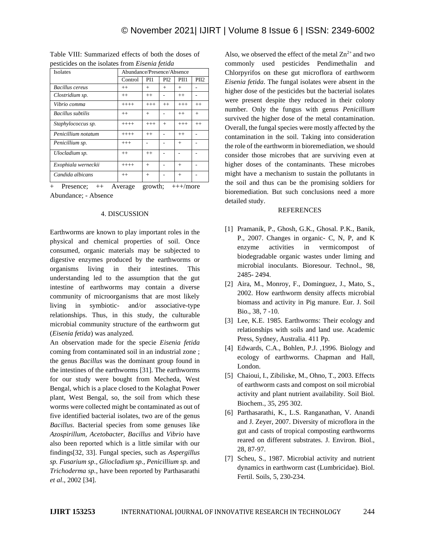| Isolates               | Abundance/Presence/Absence |         |                 | pesucides on the isolates from <i>Elisenia Jenua</i><br>PII1<br>$+$<br>$++$<br>$+++$<br>$^{++}$<br>$+++$<br>$++$<br>$^{+}$<br>$+$ |                  |
|------------------------|----------------------------|---------|-----------------|-----------------------------------------------------------------------------------------------------------------------------------|------------------|
|                        | Control                    | PI1     | PI <sub>2</sub> |                                                                                                                                   | PII <sub>2</sub> |
| <b>Bacillus</b> cereus | $^{++}$                    | $^{+}$  | $+$             |                                                                                                                                   |                  |
| Clostridium sp.        | $++$                       | $++$    |                 |                                                                                                                                   |                  |
| Vibrio comma           | $+++++$                    | $+++$   | $++$            |                                                                                                                                   | $^{++}$          |
| Bacillus subtilis      | $^{++}$                    | $+$     |                 |                                                                                                                                   | $^{+}$           |
| Staphylococcus sp.     | $++++$                     | $+++$   | $+$             |                                                                                                                                   | $^{++}$          |
| Penicillium notatum    | $++++$                     | $^{++}$ |                 |                                                                                                                                   |                  |
| Penicillium sp.        | $+++$                      |         |                 |                                                                                                                                   |                  |
| Ulocladium sp.         | $++$                       | $^{++}$ |                 |                                                                                                                                   |                  |
| Exophiala werneckii    | $++++$                     | $+$     |                 |                                                                                                                                   |                  |
| Candida albicans       | $^{++}$                    | $+$     |                 | $+$                                                                                                                               |                  |

Table VIII: Summarized effects of both the doses of pesticides on the isolates from *Eisenia fetida*

+ Presence; ++ Average growth; +++/more Abundance; - Absence

### 4. DISCUSSION

Earthworms are known to play important roles in the physical and chemical properties of soil. Once consumed, organic materials may be subjected to digestive enzymes produced by the earthworms or organisms living in their intestines. This understanding led to the assumption that the gut intestine of earthworms may contain a diverse community of microorganisms that are most likely living in symbiotic- and/or associative-type relationships. Thus, in this study, the culturable microbial community structure of the earthworm gut (*Eisenia fetida*) was analyzed.

An observation made for the specie *Eisenia fetida* coming from contaminated soil in an industrial zone ; the genus *Bacillus* was the dominant group found in the intestines of the earthworms [31]. The earthworms for our study were bought from Mecheda, West Bengal, which is a place closed to the Kolaghat Power plant, West Bengal, so, the soil from which these worms were collected might be contaminated as out of five identified bacterial isolates, two are of the genus *Bacillus*. Bacterial species from some genuses like *Azospirillum, Acetobacter, Bacillus* and *Vibrio* have also been reported which is a little similar with our findings[32, 33]. Fungal species, such as *Aspergillus sp. Fusarium sp., Gliocladium sp., Penicillium sp.* and *Trichoderma sp.*, have been reported by Parthasarathi *et al*., 2002 [34].

Also, we observed the effect of the metal  $\mathbb{Z}n^{2+}$  and two commonly used pesticides Pendimethalin and Chlorpyrifos on these gut microflora of earthworm *Eisenia fetida*. The fungal isolates were absent in the higher dose of the pesticides but the bacterial isolates were present despite they reduced in their colony number. Only the fungus with genus *Penicillium* survived the higher dose of the metal contamination. Overall, the fungal species were mostly affected by the contamination in the soil. Taking into consideration the role of the earthworm in bioremediation, we should consider those microbes that are surviving even at higher doses of the contaminants. These microbes might have a mechanism to sustain the pollutants in the soil and thus can be the promising soldiers for bioremediation. But such conclusions need a more detailed study.

#### REFERENCES

- [1] Pramanik, P., Ghosh, G.K., Ghosal. P.K., Banik, P., 2007. Changes in organic- C, N, P, and K enzyme activities in vermicompost of biodegradable organic wastes under liming and microbial inoculants. Bioresour. Technol., 98, 2485- 2494.
- [2] Aira, M., Monroy, F., Dominguez, J., Mato, S., 2002. How earthworm density affects microbial biomass and activity in Pig manure. Eur. J. Soil Bio., 38, 7 -10.
- [3] Lee, K.E. 1985. Earthworms: Their ecology and relationships with soils and land use. Academic Press, Sydney, Australia. 411 Pp.
- [4] Edwards, C.A., Bohlen, P.J. ,1996. Biology and ecology of earthworms. Chapman and Hall, London.
- [5] Chaioui, I., Zibiliske, M., Ohno, T., 2003. Effects of earthworm casts and compost on soil microbial activity and plant nutrient availability. Soil Biol. Biochem., 35, 295 302.
- [6] Parthasarathi, K., L.S. Ranganathan, V. Anandi and J. Zeyer, 2007. Diversity of microflora in the gut and casts of tropical composting earthworms reared on different substrates. J. Environ. Biol., 28, 87-97.
- [7] Scheu, S., 1987. Microbial activity and nutrient dynamics in earthworm cast (Lumbricidae). Biol. Fertil. Soils, 5, 230-234.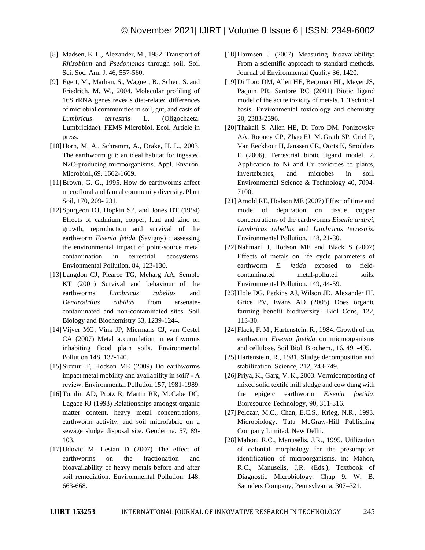- [8] Madsen, E. L., Alexander, M., 1982. Transport of *Rhizobium* and *Psedomonas* through soil. Soil Sci. Soc. Am. J. 46, 557-560.
- [9] Egert, M., Marhan, S., Wagner, B., Scheu, S. and Friedrich, M. W., 2004. Molecular profiling of 16S rRNA genes reveals diet-related differences of microbial communities in soil, gut, and casts of *Lumbricus terrestris* L. (Oligochaeta: Lumbricidae). FEMS Microbiol. Ecol. Article in press.
- [10]Horn, M. A., Schramm, A., Drake, H. L., 2003. The earthworm gut: an ideal habitat for ingested N2O-producing microorganisms. Appl. Environ. Microbiol.,69, 1662-1669.
- [11] Brown, G. G., 1995. How do earthworms affect microfloral and faunal community diversity. Plant Soil*,* 170, 209- 231.
- [12]Spurgeon DJ, Hopkin SP, and Jones DT (1994) Effects of cadmium, copper, lead and zinc on growth, reproduction and survival of the earthworm *Eisenia fetida* (Savigny) : assessing the environmental impact of point-source metal contamination in terrestrial ecosystems. Envionmental Pollution. 84, 123-130.
- [13]Langdon CJ, Piearce TG, Meharg AA, Semple KT (2001) Survival and behaviour of the earthworms *Lumbricus rubellus* and *Dendrodrilus rubidus* from arsenatecontaminated and non-contaminated sites. Soil Biology and Biochemistry 33, 1239-1244.
- [14]Vijver MG, Vink JP, Miermans CJ, van Gestel CA (2007) Metal accumulation in earthworms inhabiting flood plain soils. Environmental Pollution 148, 132-140.
- [15]Sizmur T, Hodson ME (2009) Do earthworms impact metal mobility and availability in soil? - A review. Environmental Pollution 157, 1981-1989.
- [16] Tomlin AD, Protz R, Martin RR, McCabe DC, Lagace RJ (1993) Relationships amongst organic matter content, heavy metal concentrations, earthworm activity, and soil microfabric on a sewage sludge disposal site. Geoderma. 57, 89- 103.
- [17]Udovic M, Lestan D (2007) The effect of earthworms on the fractionation and bioavailability of heavy metals before and after soil remediation. Environmental Pollution. 148, 663-668.
- [18]Harmsen J (2007) Measuring bioavailability: From a scientific approach to standard methods. Journal of Environmental Quality 36, 1420.
- [19]Di Toro DM, Allen HE, Bergman HL, Meyer JS, Paquin PR, Santore RC (2001) Biotic ligand model of the acute toxicity of metals. 1. Technical basis. Environmental toxicology and chemistry 20, 2383-2396.
- [20]Thakali S, Allen HE, Di Toro DM, Ponizovsky AA, Rooney CP, Zhao FJ, McGrath SP, Criel P, Van Eeckhout H, Janssen CR, Oorts K, Smolders E (2006). Terrestrial biotic ligand model. 2. Application to Ni and Cu toxicities to plants, invertebrates, and microbes in soil. Environmental Science & Technology 40, 7094- 7100.
- [21]Arnold RE, Hodson ME (2007) Effect of time and mode of depuration on tissue copper concentrations of the earthworms *Eisenia andrei*, *Lumbricus rubellus* and *Lumbricus terrestris*. Environmental Pollution. 148, 21-30.
- [22]Nahmani J, Hodson ME and Black S (2007) Effects of metals on life cycle parameters of earthworm *E. fetida* exposed to fieldcontaminated metal-polluted soils. Environmental Pollution. 149, 44-59.
- [23]Hole DG, Perkins AJ, Wilson JD, Alexander IH, Grice PV, Evans AD (2005) Does organic farming benefit biodiversity? Biol Cons, 122, 113-30.
- [24]Flack, F. M., Hartenstein, R., 1984. Growth of the earthworm *Eisenia foetida* on microorganisms and cellulose. Soil Biol. Biochem., 16, 491-495.
- [25] Hartenstein, R., 1981. Sludge decomposition and stabilization. Science, 212, 743-749.
- [26]Priya, K., Garg, V. K., 2003. Vermicomposting of mixed solid textile mill sludge and cow dung with the epigeic earthworm *Eisenia foetida*. Bioresource Technology, 90, 311-316.
- [27] Pelczar, M.C., Chan, E.C.S., Krieg, N.R., 1993. Microbiology. Tata McGraw-Hill Publishing Company Limited, New Delhi.
- [28]Mahon, R.C., Manuselis, J.R., 1995. Utilization of colonial morphology for the presumptive identification of microorganisms, in: Mahon, R.C., Manuselis, J.R. (Eds.), Textbook of Diagnostic Microbiology. Chap 9. W. B. Saunders Company, Pennsylvania, 307–321.